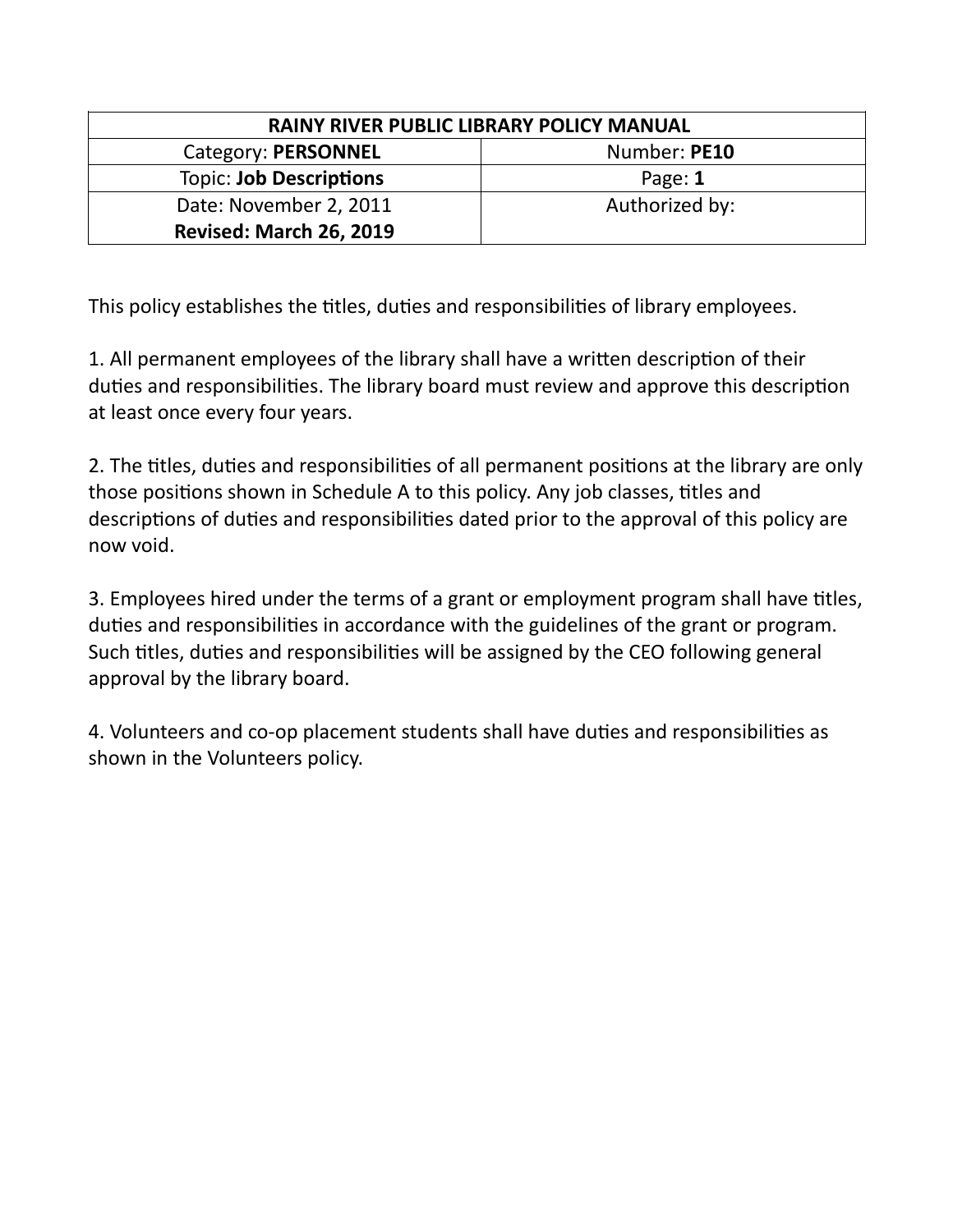| RAINY RIVER PUBLIC LIBRARY POLICY MANUAL |                |
|------------------------------------------|----------------|
| <b>Category: PERSONNEL</b>               | Number: PE10   |
| <b>Topic: Job Descriptions</b>           | Page: 1        |
| Date: November 2, 2011                   | Authorized by: |
| <b>Revised: March 26, 2019</b>           |                |

This policy establishes the titles, duties and responsibilities of library employees.

1. All permanent employees of the library shall have a written description of their duties and responsibilities. The library board must review and approve this description at least once every four years.

2. The titles, duties and responsibilities of all permanent positions at the library are only those positions shown in Schedule A to this policy. Any job classes, titles and descriptions of duties and responsibilities dated prior to the approval of this policy are now void.

3. Employees hired under the terms of a grant or employment program shall have titles, duties and responsibilities in accordance with the guidelines of the grant or program. Such titles, duties and responsibilities will be assigned by the CEO following general approval by the library board.

4. Volunteers and co-op placement students shall have duties and responsibilities as shown in the Volunteers policy.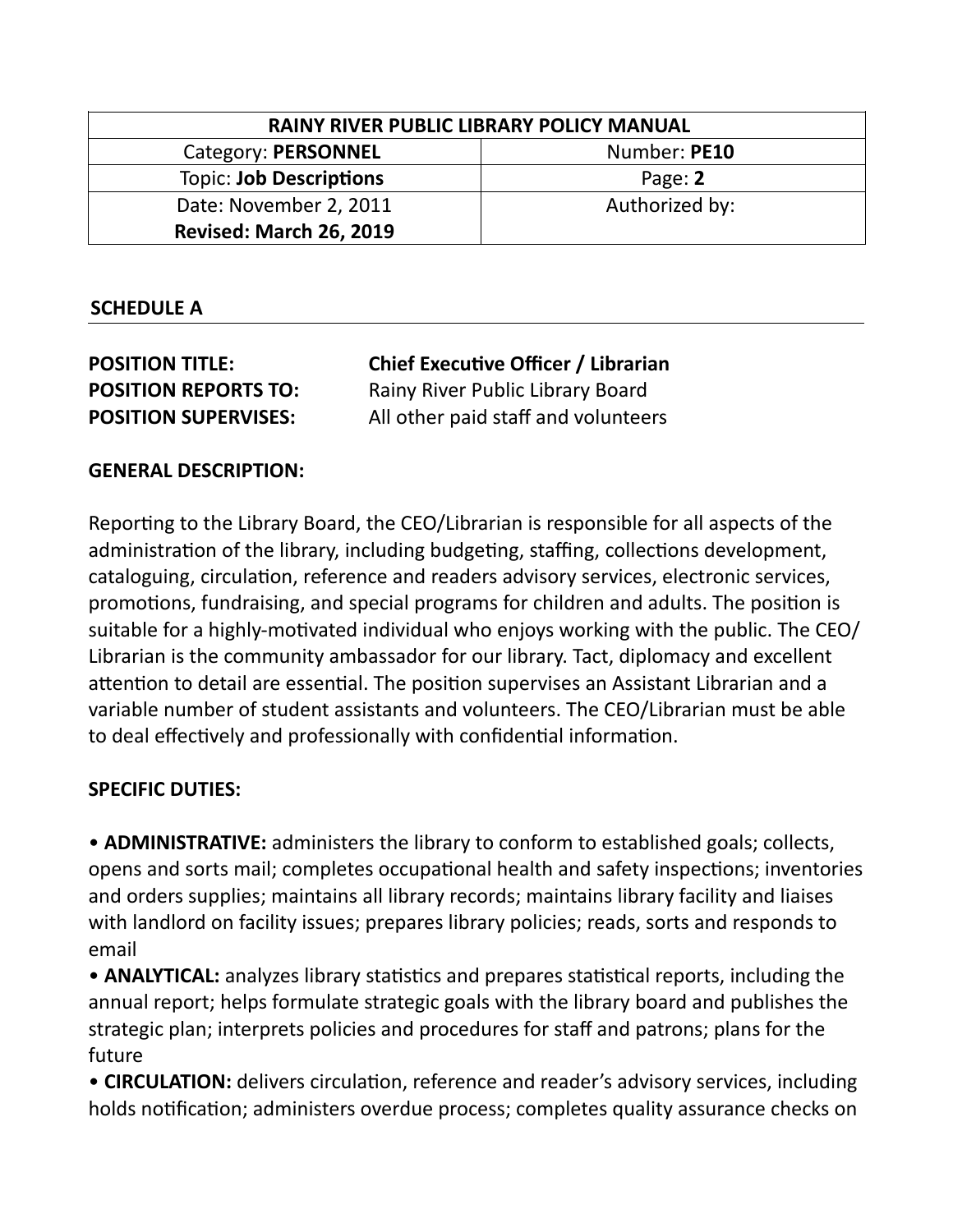| RAINY RIVER PUBLIC LIBRARY POLICY MANUAL |                |
|------------------------------------------|----------------|
| Category: PERSONNEL                      | Number: PE10   |
| <b>Topic: Job Descriptions</b>           | Page: 2        |
| Date: November 2, 2011                   | Authorized by: |
| <b>Revised: March 26, 2019</b>           |                |

## **SCHEDULE A**

| <b>POSITION TITLE:</b>      | <b>Chief Executive Officer / Librarian</b> |
|-----------------------------|--------------------------------------------|
| <b>POSITION REPORTS TO:</b> | Rainy River Public Library Board           |
| <b>POSITION SUPERVISES:</b> | All other paid staff and volunteers        |

## **GENERAL DESCRIPTION:**

Reporting to the Library Board, the CEO/Librarian is responsible for all aspects of the administration of the library, including budgeting, staffing, collections development, cataloguing, circulation, reference and readers advisory services, electronic services, promotions, fundraising, and special programs for children and adults. The position is suitable for a highly-motivated individual who enjoys working with the public. The CEO/ Librarian is the community ambassador for our library. Tact, diplomacy and excellent attention to detail are essential. The position supervises an Assistant Librarian and a variable number of student assistants and volunteers. The CEO/Librarian must be able to deal effectively and professionally with confidential information.

## **SPECIFIC DUTIES:**

• **ADMINISTRATIVE:** administers the library to conform to established goals; collects, opens and sorts mail; completes occupational health and safety inspections; inventories and orders supplies; maintains all library records; maintains library facility and liaises with landlord on facility issues; prepares library policies; reads, sorts and responds to email

• **ANALYTICAL:** analyzes library statistics and prepares statistical reports, including the annual report; helps formulate strategic goals with the library board and publishes the strategic plan; interprets policies and procedures for staff and patrons; plans for the future

• **CIRCULATION:** delivers circulation, reference and reader's advisory services, including holds notification; administers overdue process; completes quality assurance checks on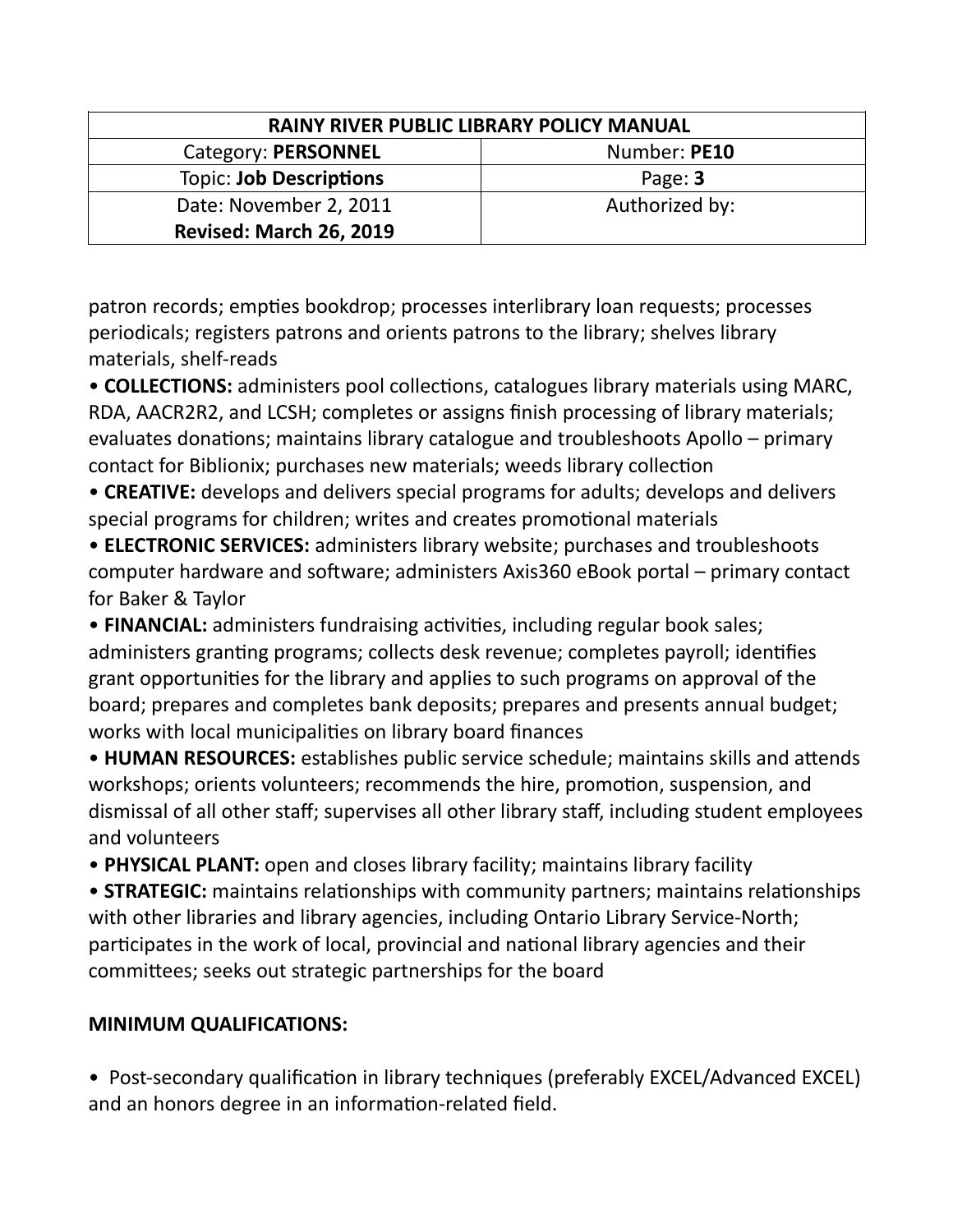| <b>RAINY RIVER PUBLIC LIBRARY POLICY MANUAL</b> |                |
|-------------------------------------------------|----------------|
| Category: PERSONNEL                             | Number: PE10   |
| <b>Topic: Job Descriptions</b>                  | Page: 3        |
| Date: November 2, 2011                          | Authorized by: |
| <b>Revised: March 26, 2019</b>                  |                |

patron records; empties bookdrop; processes interlibrary loan requests; processes periodicals; registers patrons and orients patrons to the library; shelves library materials, shelf-reads

• **COLLECTIONS:** administers pool collections, catalogues library materials using MARC, RDA, AACR2R2, and LCSH; completes or assigns finish processing of library materials; evaluates donations; maintains library catalogue and troubleshoots Apollo – primary contact for Biblionix; purchases new materials; weeds library collection

• **CREATIVE:** develops and delivers special programs for adults; develops and delivers special programs for children; writes and creates promotional materials

• **ELECTRONIC SERVICES:** administers library website; purchases and troubleshoots computer hardware and software; administers Axis360 eBook portal – primary contact for Baker & Taylor

• **FINANCIAL:** administers fundraising activities, including regular book sales; administers granting programs; collects desk revenue; completes payroll; identifies grant opportunities for the library and applies to such programs on approval of the board; prepares and completes bank deposits; prepares and presents annual budget; works with local municipalities on library board finances

• **HUMAN RESOURCES:** establishes public service schedule; maintains skills and attends workshops; orients volunteers; recommends the hire, promotion, suspension, and dismissal of all other staff; supervises all other library staff, including student employees and volunteers

• **PHYSICAL PLANT:** open and closes library facility; maintains library facility

• **STRATEGIC:** maintains relationships with community partners; maintains relationships with other libraries and library agencies, including Ontario Library Service-North; participates in the work of local, provincial and national library agencies and their committees; seeks out strategic partnerships for the board

## **MINIMUM QUALIFICATIONS:**

• Post-secondary qualification in library techniques (preferably EXCEL/Advanced EXCEL) and an honors degree in an information-related field.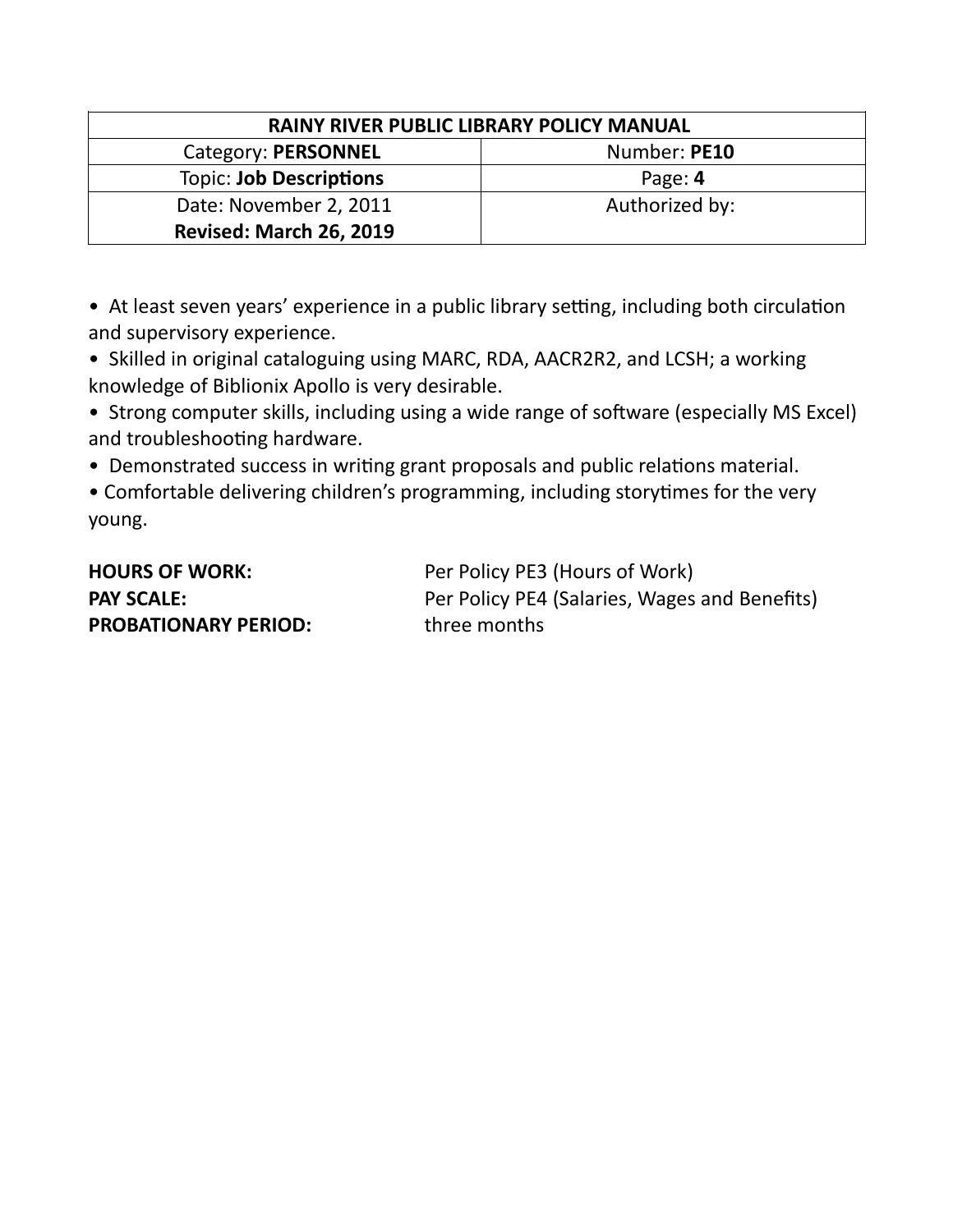| <b>RAINY RIVER PUBLIC LIBRARY POLICY MANUAL</b> |                |
|-------------------------------------------------|----------------|
| Category: PERSONNEL                             | Number: PE10   |
| <b>Topic: Job Descriptions</b>                  | Page: 4        |
| Date: November 2, 2011                          | Authorized by: |
| <b>Revised: March 26, 2019</b>                  |                |

• At least seven years' experience in a public library setting, including both circulation and supervisory experience.

• Skilled in original cataloguing using MARC, RDA, AACR2R2, and LCSH; a working knowledge of Biblionix Apollo is very desirable.

• Strong computer skills, including using a wide range of software (especially MS Excel) and troubleshooting hardware.

• Demonstrated success in writing grant proposals and public relations material.

• Comfortable delivering children's programming, including storytimes for the very young.

| <b>HOURS OF WORK:</b>       | Per Policy PE3 (Hours of Work)                |
|-----------------------------|-----------------------------------------------|
| <b>PAY SCALE:</b>           | Per Policy PE4 (Salaries, Wages and Benefits) |
| <b>PROBATIONARY PERIOD:</b> | three months                                  |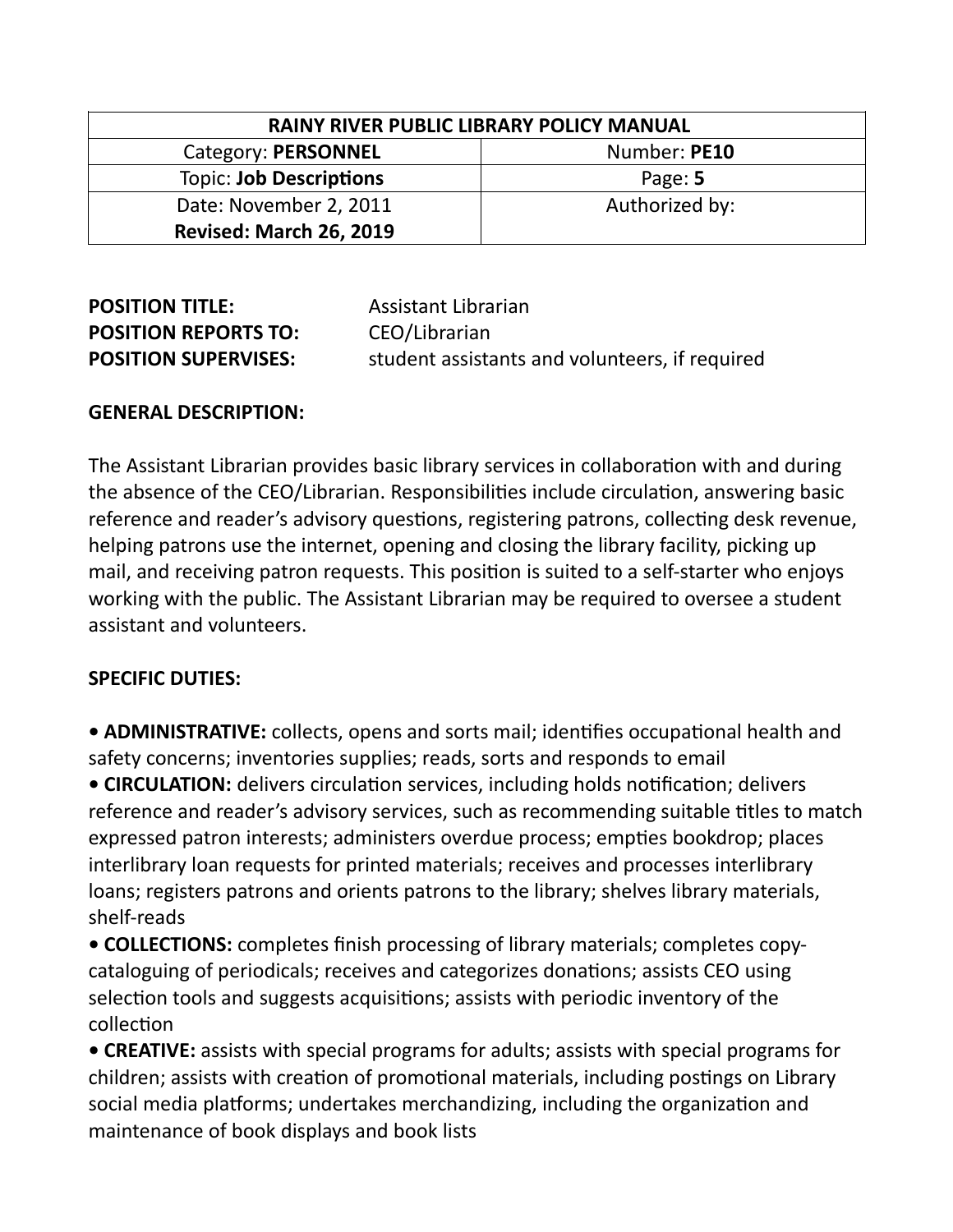| <b>RAINY RIVER PUBLIC LIBRARY POLICY MANUAL</b> |                |
|-------------------------------------------------|----------------|
| Category: PERSONNEL                             | Number: PE10   |
| <b>Topic: Job Descriptions</b>                  | Page: 5        |
| Date: November 2, 2011                          | Authorized by: |
| <b>Revised: March 26, 2019</b>                  |                |

| <b>POSITION TITLE:</b>      | Assistant Librarian                            |
|-----------------------------|------------------------------------------------|
| <b>POSITION REPORTS TO:</b> | CEO/Librarian                                  |
| <b>POSITION SUPERVISES:</b> | student assistants and volunteers, if required |

#### **GENERAL DESCRIPTION:**

The Assistant Librarian provides basic library services in collaboration with and during the absence of the CEO/Librarian. Responsibilities include circulation, answering basic reference and reader's advisory questions, registering patrons, collecting desk revenue, helping patrons use the internet, opening and closing the library facility, picking up mail, and receiving patron requests. This position is suited to a self-starter who enjoys working with the public. The Assistant Librarian may be required to oversee a student assistant and volunteers.

## **SPECIFIC DUTIES:**

**• ADMINISTRATIVE:** collects, opens and sorts mail; identifies occupational health and safety concerns; inventories supplies; reads, sorts and responds to email

**• CIRCULATION:** delivers circulation services, including holds notification; delivers reference and reader's advisory services, such as recommending suitable titles to match expressed patron interests; administers overdue process; empties bookdrop; places interlibrary loan requests for printed materials; receives and processes interlibrary loans; registers patrons and orients patrons to the library; shelves library materials, shelf-reads

**• COLLECTIONS:** completes finish processing of library materials; completes copycataloguing of periodicals; receives and categorizes donations; assists CEO using selection tools and suggests acquisitions; assists with periodic inventory of the collection

**• CREATIVE:** assists with special programs for adults; assists with special programs for children; assists with creation of promotional materials, including postings on Library social media platforms; undertakes merchandizing, including the organization and maintenance of book displays and book lists